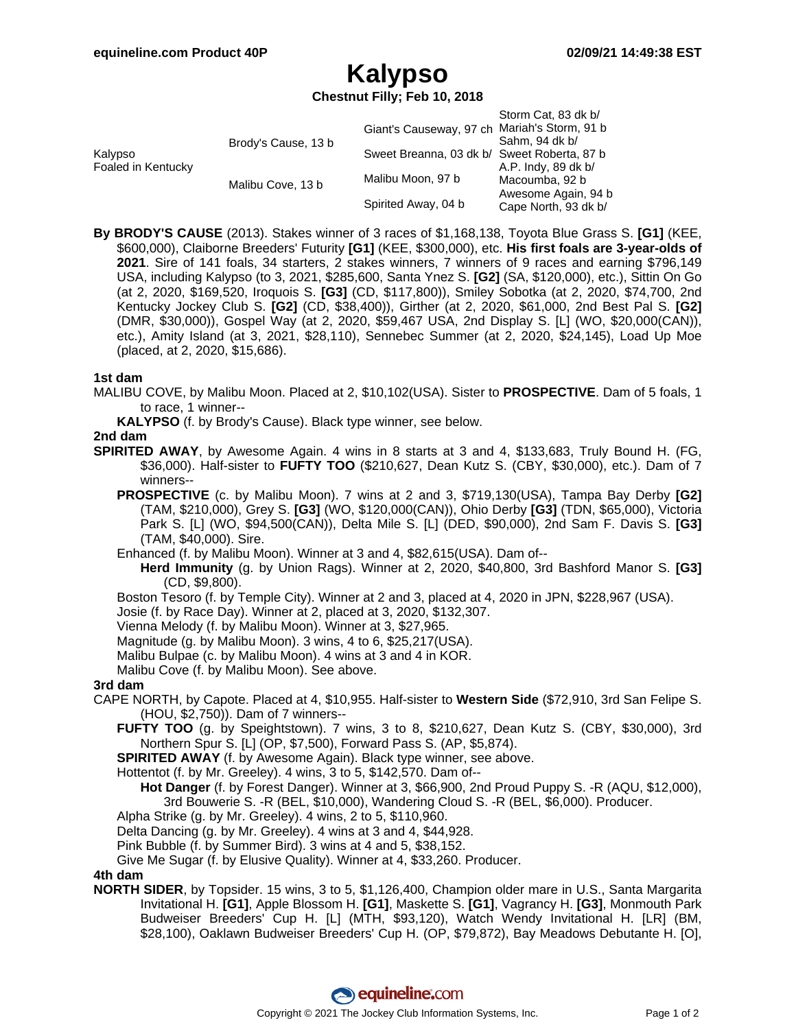# **Kalypso**

**Chestnut Filly; Feb 10, 2018**

|                               |                     |                                              | Storm Cat, 83 dk b/  |
|-------------------------------|---------------------|----------------------------------------------|----------------------|
| Kalypso<br>Foaled in Kentucky | Brody's Cause, 13 b | Giant's Causeway, 97 ch Mariah's Storm, 91 b |                      |
|                               |                     |                                              | Sahm, 94 dk b/       |
|                               |                     | Sweet Breanna, 03 dk b/ Sweet Roberta, 87 b  |                      |
|                               |                     |                                              | A.P. Indy, 89 dk b/  |
|                               | Malibu Cove, 13 b   | Malibu Moon, 97 b                            | Macoumba, 92 b       |
|                               |                     | Spirited Away, 04 b                          | Awesome Again, 94 b  |
|                               |                     |                                              | Cape North, 93 dk b/ |

**By BRODY'S CAUSE** (2013). Stakes winner of 3 races of \$1,168,138, Toyota Blue Grass S. **[G1]** (KEE, \$600,000), Claiborne Breeders' Futurity **[G1]** (KEE, \$300,000), etc. **His first foals are 3-year-olds of 2021**. Sire of 141 foals, 34 starters, 2 stakes winners, 7 winners of 9 races and earning \$796,149 USA, including Kalypso (to 3, 2021, \$285,600, Santa Ynez S. **[G2]** (SA, \$120,000), etc.), Sittin On Go (at 2, 2020, \$169,520, Iroquois S. **[G3]** (CD, \$117,800)), Smiley Sobotka (at 2, 2020, \$74,700, 2nd Kentucky Jockey Club S. **[G2]** (CD, \$38,400)), Girther (at 2, 2020, \$61,000, 2nd Best Pal S. **[G2]** (DMR, \$30,000)), Gospel Way (at 2, 2020, \$59,467 USA, 2nd Display S. [L] (WO, \$20,000(CAN)), etc.), Amity Island (at 3, 2021, \$28,110), Sennebec Summer (at 2, 2020, \$24,145), Load Up Moe (placed, at 2, 2020, \$15,686).

#### **1st dam**

- MALIBU COVE, by Malibu Moon. Placed at 2, \$10,102(USA). Sister to **PROSPECTIVE**. Dam of 5 foals, 1 to race, 1 winner--
	- **KALYPSO** (f. by Brody's Cause). Black type winner, see below.

#### **2nd dam**

- **SPIRITED AWAY**, by Awesome Again. 4 wins in 8 starts at 3 and 4, \$133,683, Truly Bound H. (FG, \$36,000). Half-sister to **FUFTY TOO** (\$210,627, Dean Kutz S. (CBY, \$30,000), etc.). Dam of 7 winners--
	- **PROSPECTIVE** (c. by Malibu Moon). 7 wins at 2 and 3, \$719,130(USA), Tampa Bay Derby **[G2]** (TAM, \$210,000), Grey S. **[G3]** (WO, \$120,000(CAN)), Ohio Derby **[G3]** (TDN, \$65,000), Victoria Park S. [L] (WO, \$94,500(CAN)), Delta Mile S. [L] (DED, \$90,000), 2nd Sam F. Davis S. **[G3]** (TAM, \$40,000). Sire.

Enhanced (f. by Malibu Moon). Winner at 3 and 4, \$82,615(USA). Dam of--

- **Herd Immunity** (g. by Union Rags). Winner at 2, 2020, \$40,800, 3rd Bashford Manor S. **[G3]** (CD, \$9,800).
- Boston Tesoro (f. by Temple City). Winner at 2 and 3, placed at 4, 2020 in JPN, \$228,967 (USA).
- Josie (f. by Race Day). Winner at 2, placed at 3, 2020, \$132,307.
- Vienna Melody (f. by Malibu Moon). Winner at 3, \$27,965.

Magnitude (g. by Malibu Moon). 3 wins, 4 to 6, \$25,217(USA).

- Malibu Bulpae (c. by Malibu Moon). 4 wins at 3 and 4 in KOR.
- Malibu Cove (f. by Malibu Moon). See above.

#### **3rd dam**

- CAPE NORTH, by Capote. Placed at 4, \$10,955. Half-sister to **Western Side** (\$72,910, 3rd San Felipe S. (HOU, \$2,750)). Dam of 7 winners--
	- **FUFTY TOO** (g. by Speightstown). 7 wins, 3 to 8, \$210,627, Dean Kutz S. (CBY, \$30,000), 3rd Northern Spur S. [L] (OP, \$7,500), Forward Pass S. (AP, \$5,874).
	- **SPIRITED AWAY** (f. by Awesome Again). Black type winner, see above.
	- Hottentot (f. by Mr. Greeley). 4 wins, 3 to 5, \$142,570. Dam of--
		- **Hot Danger** (f. by Forest Danger). Winner at 3, \$66,900, 2nd Proud Puppy S. -R (AQU, \$12,000), 3rd Bouwerie S. -R (BEL, \$10,000), Wandering Cloud S. -R (BEL, \$6,000). Producer.
	- Alpha Strike (g. by Mr. Greeley). 4 wins, 2 to 5, \$110,960.
	- Delta Dancing (g. by Mr. Greeley). 4 wins at 3 and 4, \$44,928.
	- Pink Bubble (f. by Summer Bird). 3 wins at 4 and 5, \$38,152.
	- Give Me Sugar (f. by Elusive Quality). Winner at 4, \$33,260. Producer.

**4th dam**

**NORTH SIDER**, by Topsider. 15 wins, 3 to 5, \$1,126,400, Champion older mare in U.S., Santa Margarita Invitational H. **[G1]**, Apple Blossom H. **[G1]**, Maskette S. **[G1]**, Vagrancy H. **[G3]**, Monmouth Park Budweiser Breeders' Cup H. [L] (MTH, \$93,120), Watch Wendy Invitational H. [LR] (BM, \$28,100), Oaklawn Budweiser Breeders' Cup H. (OP, \$79,872), Bay Meadows Debutante H. [O],